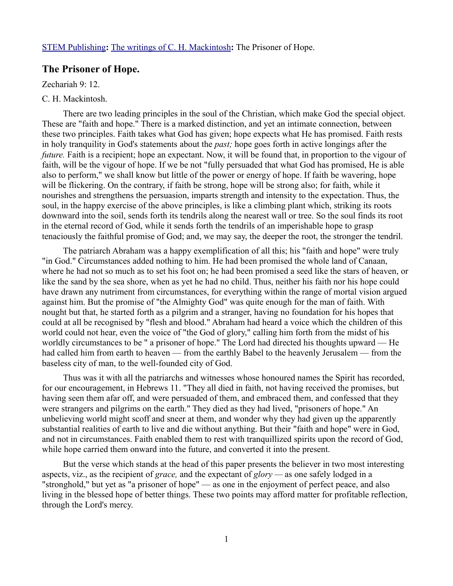## **The Prisoner of Hope.**

Zechariah 9: 12.

## C. H. Mackintosh.

There are two leading principles in the soul of the Christian, which make God the special object. These are "faith and hope." There is a marked distinction, and yet an intimate connection, between these two principles. Faith takes what God has given; hope expects what He has promised. Faith rests in holy tranquility in God's statements about the *past;* hope goes forth in active longings after the *future*. Faith is a recipient; hope an expectant. Now, it will be found that, in proportion to the vigour of faith, will be the vigour of hope. If we be not "fully persuaded that what God has promised, He is able also to perform," we shall know but little of the power or energy of hope. If faith be wavering, hope will be flickering. On the contrary, if faith be strong, hope will be strong also; for faith, while it nourishes and strengthens the persuasion, imparts strength and intensity to the expectation. Thus, the soul, in the happy exercise of the above principles, is like a climbing plant which, striking its roots downward into the soil, sends forth its tendrils along the nearest wall or tree. So the soul finds its root in the eternal record of God, while it sends forth the tendrils of an imperishable hope to grasp tenaciously the faithful promise of God; and, we may say, the deeper the root, the stronger the tendril.

The patriarch Abraham was a happy exemplification of all this; his "faith and hope" were truly "in God." Circumstances added nothing to him. He had been promised the whole land of Canaan, where he had not so much as to set his foot on; he had been promised a seed like the stars of heaven, or like the sand by the sea shore, when as yet he had no child. Thus, neither his faith nor his hope could have drawn any nutriment from circumstances, for everything within the range of mortal vision argued against him. But the promise of "the Almighty God" was quite enough for the man of faith. With nought but that, he started forth as a pilgrim and a stranger, having no foundation for his hopes that could at all be recognised by "flesh and blood." Abraham had heard a voice which the children of this world could not hear, even the voice of "the God of glory," calling him forth from the midst of his worldly circumstances to be " a prisoner of hope." The Lord had directed his thoughts upward — He had called him from earth to heaven — from the earthly Babel to the heavenly Jerusalem — from the baseless city of man, to the well-founded city of God.

Thus was it with all the patriarchs and witnesses whose honoured names the Spirit has recorded, for our encouragement, in Hebrews 11. "They all died in faith, not having received the promises, but having seen them afar off, and were persuaded of them, and embraced them, and confessed that they were strangers and pilgrims on the earth." They died as they had lived, "prisoners of hope." An unbelieving world might scoff and sneer at them, and wonder why they had given up the apparently substantial realities of earth to live and die without anything. But their "faith and hope" were in God, and not in circumstances. Faith enabled them to rest with tranquillized spirits upon the record of God, while hope carried them onward into the future, and converted it into the present.

But the verse which stands at the head of this paper presents the believer in two most interesting aspects, viz., as the recipient of *grace,* and the expectant of *glory —* as one safely lodged in a "stronghold," but yet as "a prisoner of hope" — as one in the enjoyment of perfect peace, and also living in the blessed hope of better things. These two points may afford matter for profitable reflection, through the Lord's mercy.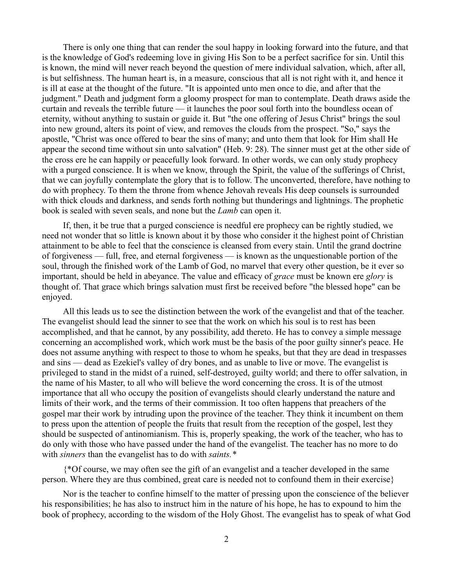There is only one thing that can render the soul happy in looking forward into the future, and that is the knowledge of God's redeeming love in giving His Son to be a perfect sacrifice for sin. Until this is known, the mind will never reach beyond the question of mere individual salvation, which, after all, is but selfishness. The human heart is, in a measure, conscious that all is not right with it, and hence it is ill at ease at the thought of the future. "It is appointed unto men once to die, and after that the judgment." Death and judgment form a gloomy prospect for man to contemplate. Death draws aside the curtain and reveals the terrible future — it launches the poor soul forth into the boundless ocean of eternity, without anything to sustain or guide it. But "the one offering of Jesus Christ" brings the soul into new ground, alters its point of view, and removes the clouds from the prospect. "So," says the apostle, "Christ was once offered to bear the sins of many; and unto them that look for Him shall He appear the second time without sin unto salvation" (Heb. 9: 28). The sinner must get at the other side of the cross ere he can happily or peacefully look forward. In other words, we can only study prophecy with a purged conscience. It is when we know, through the Spirit, the value of the sufferings of Christ, that we can joyfully contemplate the glory that is to follow. The unconverted, therefore, have nothing to do with prophecy. To them the throne from whence Jehovah reveals His deep counsels is surrounded with thick clouds and darkness, and sends forth nothing but thunderings and lightnings. The prophetic book is sealed with seven seals, and none but the *Lamb* can open it.

If, then, it be true that a purged conscience is needful ere prophecy can be rightly studied, we need not wonder that so little is known about it by those who consider it the highest point of Christian attainment to be able to feel that the conscience is cleansed from every stain. Until the grand doctrine of forgiveness — full, free, and eternal forgiveness — is known as the unquestionable portion of the soul, through the finished work of the Lamb of God, no marvel that every other question, be it ever so important, should be held in abeyance. The value and efficacy of *grace* must be known ere *glory* is thought of. That grace which brings salvation must first be received before "the blessed hope" can be enjoyed.

All this leads us to see the distinction between the work of the evangelist and that of the teacher. The evangelist should lead the sinner to see that the work on which his soul is to rest has been accomplished, and that he cannot, by any possibility, add thereto. He has to convey a simple message concerning an accomplished work, which work must be the basis of the poor guilty sinner's peace. He does not assume anything with respect to those to whom he speaks, but that they are dead in trespasses and sins — dead as Ezekiel's valley of dry bones, and as unable to live or move. The evangelist is privileged to stand in the midst of a ruined, self-destroyed, guilty world; and there to offer salvation, in the name of his Master, to all who will believe the word concerning the cross. It is of the utmost importance that all who occupy the position of evangelists should clearly understand the nature and limits of their work, and the terms of their commission. It too often happens that preachers of the gospel mar their work by intruding upon the province of the teacher. They think it incumbent on them to press upon the attention of people the fruits that result from the reception of the gospel, lest they should be suspected of antinomianism. This is, properly speaking, the work of the teacher, who has to do only with those who have passed under the hand of the evangelist. The teacher has no more to do with *sinners* than the evangelist has to do with *saints.\** 

{\*Of course, we may often see the gift of an evangelist and a teacher developed in the same person. Where they are thus combined, great care is needed not to confound them in their exercise}

Nor is the teacher to confine himself to the matter of pressing upon the conscience of the believer his responsibilities; he has also to instruct him in the nature of his hope, he has to expound to him the book of prophecy, according to the wisdom of the Holy Ghost. The evangelist has to speak of what God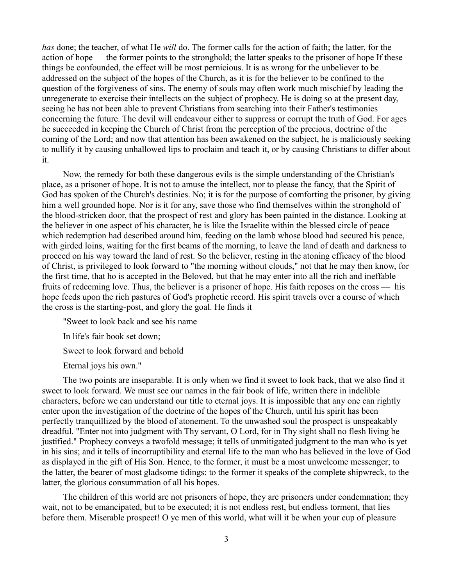*has* done; the teacher, of what He *will* do. The former calls for the action of faith; the latter, for the action of hope — the former points to the stronghold; the latter speaks to the prisoner of hope If these things be confounded, the effect will be most pernicious. It is as wrong for the unbeliever to be addressed on the subject of the hopes of the Church, as it is for the believer to be confined to the question of the forgiveness of sins. The enemy of souls may often work much mischief by leading the unregenerate to exercise their intellects on the subject of prophecy. He is doing so at the present day, seeing he has not been able to prevent Christians from searching into their Father's testimonies concerning the future. The devil will endeavour either to suppress or corrupt the truth of God. For ages he succeeded in keeping the Church of Christ from the perception of the precious, doctrine of the coming of the Lord; and now that attention has been awakened on the subject, he is maliciously seeking to nullify it by causing unhallowed lips to proclaim and teach it, or by causing Christians to differ about it.

Now, the remedy for both these dangerous evils is the simple understanding of the Christian's place, as a prisoner of hope. It is not to amuse the intellect, nor to please the fancy, that the Spirit of God has spoken of the Church's destinies. No; it is for the purpose of comforting the prisoner, by giving him a well grounded hope. Nor is it for any, save those who find themselves within the stronghold of the blood-stricken door, that the prospect of rest and glory has been painted in the distance. Looking at the believer in one aspect of his character, he is like the Israelite within the blessed circle of peace which redemption had described around him, feeding on the lamb whose blood had secured his peace, with girded loins, waiting for the first beams of the morning, to leave the land of death and darkness to proceed on his way toward the land of rest. So the believer, resting in the atoning efficacy of the blood of Christ, is privileged to look forward to "the morning without clouds," not that he may then know, for the first time, that ho is accepted in the Beloved, but that he may enter into all the rich and ineffable fruits of redeeming love. Thus, the believer is a prisoner of hope. His faith reposes on the cross — his hope feeds upon the rich pastures of God's prophetic record. His spirit travels over a course of which the cross is the starting-post, and glory the goal. He finds it

"Sweet to look back and see his name

In life's fair book set down;

Sweet to look forward and behold

Eternal joys his own."

The two points are inseparable. It is only when we find it sweet to look back, that we also find it sweet to look forward. We must see our names in the fair book of life, written there in indelible characters, before we can understand our title to eternal joys. It is impossible that any one can rightly enter upon the investigation of the doctrine of the hopes of the Church, until his spirit has been perfectly tranquillized by the blood of atonement. To the unwashed soul the prospect is unspeakably dreadful. "Enter not into judgment with Thy servant, O Lord, for in Thy sight shall no flesh living be justified." Prophecy conveys a twofold message; it tells of unmitigated judgment to the man who is yet in his sins; and it tells of incorruptibility and eternal life to the man who has believed in the love of God as displayed in the gift of His Son. Hence, to the former, it must be a most unwelcome messenger; to the latter, the bearer of most gladsome tidings: to the former it speaks of the complete shipwreck, to the latter, the glorious consummation of all his hopes.

The children of this world are not prisoners of hope, they are prisoners under condemnation; they wait, not to be emancipated, but to be executed; it is not endless rest, but endless torment, that lies before them. Miserable prospect! O ye men of this world, what will it be when your cup of pleasure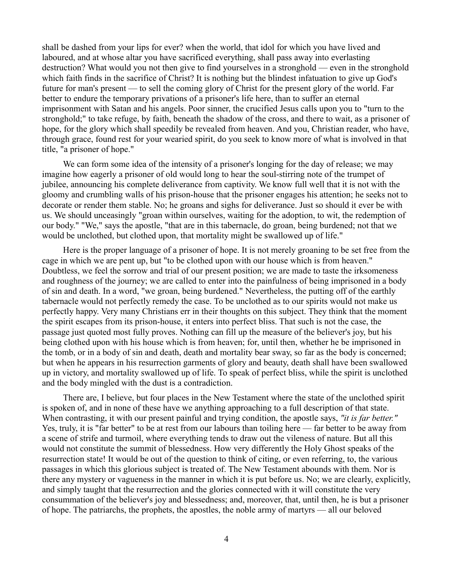shall be dashed from your lips for ever? when the world, that idol for which you have lived and laboured, and at whose altar you have sacrificed everything, shall pass away into everlasting destruction? What would you not then give to find yourselves in a stronghold — even in the stronghold which faith finds in the sacrifice of Christ? It is nothing but the blindest infatuation to give up God's future for man's present — to sell the coming glory of Christ for the present glory of the world. Far better to endure the temporary privations of a prisoner's life here, than to suffer an eternal imprisonment with Satan and his angels. Poor sinner, the crucified Jesus calls upon you to "turn to the stronghold;" to take refuge, by faith, beneath the shadow of the cross, and there to wait, as a prisoner of hope, for the glory which shall speedily be revealed from heaven. And you, Christian reader, who have, through grace, found rest for your wearied spirit, do you seek to know more of what is involved in that title, "a prisoner of hope."

We can form some idea of the intensity of a prisoner's longing for the day of release; we may imagine how eagerly a prisoner of old would long to hear the soul-stirring note of the trumpet of jubilee, announcing his complete deliverance from captivity. We know full well that it is not with the gloomy and crumbling walls of his prison-house that the prisoner engages his attention; he seeks not to decorate or render them stable. No; he groans and sighs for deliverance. Just so should it ever be with us. We should unceasingly "groan within ourselves, waiting for the adoption, to wit, the redemption of our body." "We," says the apostle, "that are in this tabernacle, do groan, being burdened; not that we would be unclothed, but clothed upon, that mortality might be swallowed up of life."

Here is the proper language of a prisoner of hope. It is not merely groaning to be set free from the cage in which we are pent up, but "to be clothed upon with our house which is from heaven." Doubtless, we feel the sorrow and trial of our present position; we are made to taste the irksomeness and roughness of the journey; we are called to enter into the painfulness of being imprisoned in a body of sin and death. In a word, "we groan, being burdened." Nevertheless, the putting off of the earthly tabernacle would not perfectly remedy the case. To be unclothed as to our spirits would not make us perfectly happy. Very many Christians err in their thoughts on this subject. They think that the moment the spirit escapes from its prison-house, it enters into perfect bliss. That such is not the case, the passage just quoted most fully proves. Nothing can fill up the measure of the believer's joy, but his being clothed upon with his house which is from heaven; for, until then, whether he be imprisoned in the tomb, or in a body of sin and death, death and mortality bear sway, so far as the body is concerned; but when he appears in his resurrection garments of glory and beauty, death shall have been swallowed up in victory, and mortality swallowed up of life. To speak of perfect bliss, while the spirit is unclothed and the body mingled with the dust is a contradiction.

There are, I believe, but four places in the New Testament where the state of the unclothed spirit is spoken of, and in none of these have we anything approaching to a full description of that state. When contrasting, it with our present painful and trying condition, the apostle says, *"it is far better."* Yes, truly, it is "far better" to be at rest from our labours than toiling here — far better to be away from a scene of strife and turmoil, where everything tends to draw out the vileness of nature. But all this would not constitute the summit of blessedness. How very differently the Holy Ghost speaks of the resurrection state! It would be out of the question to think of citing, or even referring, to, the various passages in which this glorious subject is treated of. The New Testament abounds with them. Nor is there any mystery or vagueness in the manner in which it is put before us. No; we are clearly, explicitly, and simply taught that the resurrection and the glories connected with it will constitute the very consummation of the believer's joy and blessedness; and, moreover, that, until then, he is but a prisoner of hope. The patriarchs, the prophets, the apostles, the noble army of martyrs — all our beloved